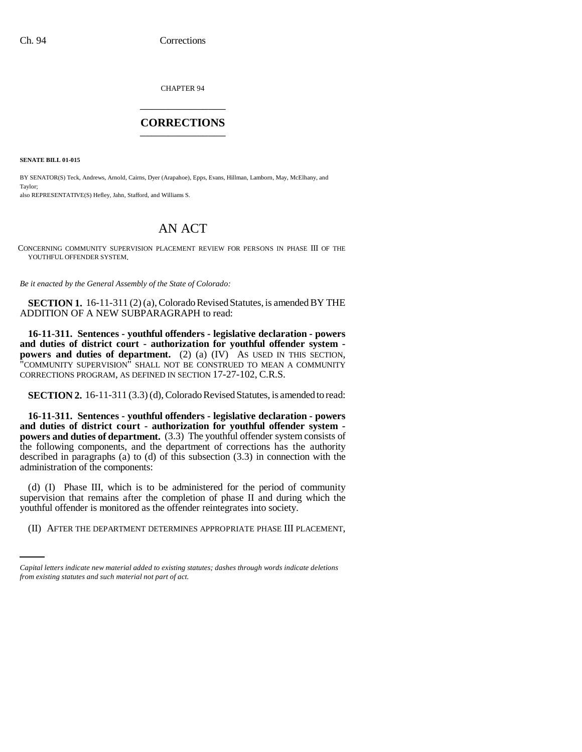CHAPTER 94 \_\_\_\_\_\_\_\_\_\_\_\_\_\_\_

## **CORRECTIONS** \_\_\_\_\_\_\_\_\_\_\_\_\_\_\_

**SENATE BILL 01-015**

BY SENATOR(S) Teck, Andrews, Arnold, Cairns, Dyer (Arapahoe), Epps, Evans, Hillman, Lamborn, May, McElhany, and Taylor; also REPRESENTATIVE(S) Hefley, Jahn, Stafford, and Williams S.

## AN ACT

CONCERNING COMMUNITY SUPERVISION PLACEMENT REVIEW FOR PERSONS IN PHASE III OF THE YOUTHFUL OFFENDER SYSTEM.

*Be it enacted by the General Assembly of the State of Colorado:*

**SECTION 1.** 16-11-311 (2) (a), Colorado Revised Statutes, is amended BY THE ADDITION OF A NEW SUBPARAGRAPH to read:

**16-11-311. Sentences - youthful offenders - legislative declaration - powers and duties of district court - authorization for youthful offender system powers and duties of department.** (2) (a) (IV) AS USED IN THIS SECTION, "COMMUNITY SUPERVISION" SHALL NOT BE CONSTRUED TO MEAN A COMMUNITY CORRECTIONS PROGRAM, AS DEFINED IN SECTION 17-27-102, C.R.S.

**SECTION 2.** 16-11-311 (3.3) (d), Colorado Revised Statutes, is amended to read:

**16-11-311. Sentences - youthful offenders - legislative declaration - powers and duties of district court - authorization for youthful offender system powers and duties of department.** (3.3) The youthful offender system consists of the following components, and the department of corrections has the authority described in paragraphs (a) to (d) of this subsection (3.3) in connection with the administration of the components:

youthful offender is monitored as the offender reintegrates into society. (d) (I) Phase III, which is to be administered for the period of community supervision that remains after the completion of phase II and during which the

(II) AFTER THE DEPARTMENT DETERMINES APPROPRIATE PHASE III PLACEMENT,

*Capital letters indicate new material added to existing statutes; dashes through words indicate deletions from existing statutes and such material not part of act.*